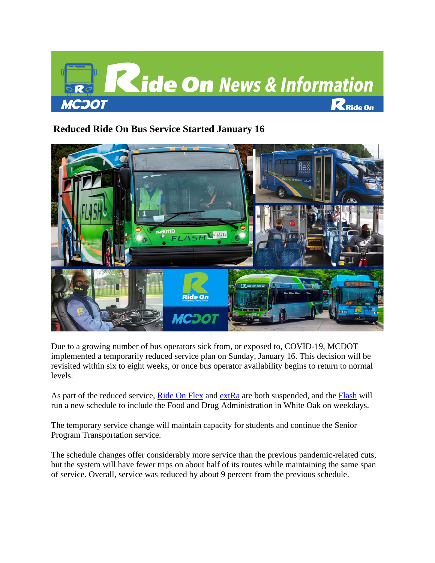

# **Reduced Ride On Bus Service Started January 16**



Due to a growing number of bus operators sick from, or exposed to, COVID-19, MCDOT implemented a temporarily reduced service plan on Sunday, January 16. This decision will be revisited within six to eight weeks, or once bus operator availability begins to return to normal levels.

As part of the reduced service, [Ride On Flex](https://gcc02.safelinks.protection.outlook.com/?url=https%3A%2F%2Fwww.montgomerycountymd.gov%2FDOT-Transit%2Fflex%2F&data=04%7C01%7Ckodichi.nwankwo%40montgomerycountymd.gov%7Cfff4a8161de84ee3a3fb08d9dc5d1d87%7C6e01b1f9b1e54073ac97778069a0ad64%7C0%7C0%7C637783114762894792%7CUnknown%7CTWFpbGZsb3d8eyJWIjoiMC4wLjAwMDAiLCJQIjoiV2luMzIiLCJBTiI6Ik1haWwiLCJXVCI6Mn0%3D%7C3000&sdata=uu2lrHLZoguLF2As4XQq8%2ByKNUCtQw6wNAQc%2Bw3meG8%3D&reserved=0) and [extRa](https://gcc02.safelinks.protection.outlook.com/?url=https%3A%2F%2Fwww.montgomerycountymd.gov%2Fdot-transit%2FRideOnExtra.html&data=04%7C01%7Ckodichi.nwankwo%40montgomerycountymd.gov%7Cfff4a8161de84ee3a3fb08d9dc5d1d87%7C6e01b1f9b1e54073ac97778069a0ad64%7C0%7C0%7C637783114762894792%7CUnknown%7CTWFpbGZsb3d8eyJWIjoiMC4wLjAwMDAiLCJQIjoiV2luMzIiLCJBTiI6Ik1haWwiLCJXVCI6Mn0%3D%7C3000&sdata=r9mlqRhOme9OUAD3J%2FHOo%2FZOSbmTiqVKI5ux9nUOohQ%3D&reserved=0) are both suspended, and the [Flash](https://gcc02.safelinks.protection.outlook.com/?url=https%3A%2F%2Fwww.montgomerycountymd.gov%2Fdot-transit%2Fflash%2F&data=04%7C01%7Ckodichi.nwankwo%40montgomerycountymd.gov%7Cfff4a8161de84ee3a3fb08d9dc5d1d87%7C6e01b1f9b1e54073ac97778069a0ad64%7C0%7C0%7C637783114763050819%7CUnknown%7CTWFpbGZsb3d8eyJWIjoiMC4wLjAwMDAiLCJQIjoiV2luMzIiLCJBTiI6Ik1haWwiLCJXVCI6Mn0%3D%7C3000&sdata=dV6oQzm%2Ba6F%2B7yTwyWEl7dVIInno5VMYRrKtQ9BbPHk%3D&reserved=0) will run a new schedule to include the Food and Drug Administration in White Oak on weekdays.

The temporary service change will maintain capacity for students and continue the Senior Program Transportation service.

The schedule changes offer considerably more service than the previous pandemic-related cuts, but the system will have fewer trips on about half of its routes while maintaining the same span of service. Overall, service was reduced by about 9 percent from the previous schedule.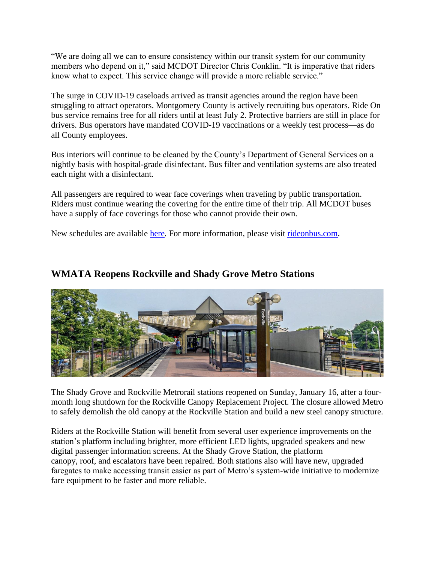"We are doing all we can to ensure consistency within our transit system for our community members who depend on it," said MCDOT Director Chris Conklin. "It is imperative that riders know what to expect. This service change will provide a more reliable service."

The surge in COVID-19 caseloads arrived as transit agencies around the region have been struggling to attract operators. Montgomery County is actively recruiting bus operators. Ride On bus service remains free for all riders until at least July 2. Protective barriers are still in place for drivers. Bus operators have mandated COVID-19 vaccinations or a weekly test process—as do all County employees.

Bus interiors will continue to be cleaned by the County's Department of General Services on a nightly basis with hospital-grade disinfectant. Bus filter and ventilation systems are also treated each night with a disinfectant.

All passengers are required to wear face coverings when traveling by public transportation. Riders must continue wearing the covering for the entire time of their trip. All MCDOT buses have a supply of face coverings for those who cannot provide their own.

New schedules are available [here.](https://gcc02.safelinks.protection.outlook.com/?url=https%3A%2F%2Fwww.montgomerycountymd.gov%2FDOT-Transit%2Fjanuary-16-2022-schedules.html&data=04%7C01%7Ckodichi.nwankwo%40montgomerycountymd.gov%7Cfff4a8161de84ee3a3fb08d9dc5d1d87%7C6e01b1f9b1e54073ac97778069a0ad64%7C0%7C0%7C637783114763050819%7CUnknown%7CTWFpbGZsb3d8eyJWIjoiMC4wLjAwMDAiLCJQIjoiV2luMzIiLCJBTiI6Ik1haWwiLCJXVCI6Mn0%3D%7C3000&sdata=Vyr9LB1wHJSk32zBSUL1fVjLoc7nd%2BxSSQzeCnwZeBE%3D&reserved=0) For more information, please visit [rideonbus.com.](https://gcc02.safelinks.protection.outlook.com/?url=https%3A%2F%2Fwww.montgomerycountymd.gov%2Fdot-transit%2Findex.html&data=04%7C01%7Ckodichi.nwankwo%40montgomerycountymd.gov%7Cfff4a8161de84ee3a3fb08d9dc5d1d87%7C6e01b1f9b1e54073ac97778069a0ad64%7C0%7C0%7C637783114763050819%7CUnknown%7CTWFpbGZsb3d8eyJWIjoiMC4wLjAwMDAiLCJQIjoiV2luMzIiLCJBTiI6Ik1haWwiLCJXVCI6Mn0%3D%7C3000&sdata=vWvYYDKty%2Bc%2BikaBGJPY2KoEMoTgHHWYY%2BsJPYDznUU%3D&reserved=0)

### **WMATA Reopens Rockville and Shady Grove Metro Stations**



The Shady Grove and Rockville Metrorail stations reopened on Sunday, January 16, after a fourmonth long shutdown for the Rockville Canopy Replacement Project. The closure allowed Metro to safely demolish the old canopy at the Rockville Station and build a new steel canopy structure.

Riders at the Rockville Station will benefit from several user experience improvements on the station's platform including brighter, more efficient LED lights, upgraded speakers and new digital passenger information screens. At the Shady Grove Station, the platform canopy, roof, and escalators have been repaired. Both stations also will have new, upgraded faregates to make accessing transit easier as part of Metro's system-wide initiative to modernize fare equipment to be faster and more reliable.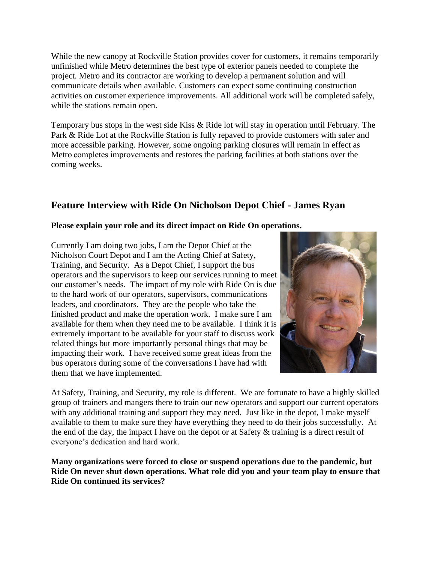While the new canopy at Rockville Station provides cover for customers, it remains temporarily unfinished while Metro determines the best type of exterior panels needed to complete the project. Metro and its contractor are working to develop a permanent solution and will communicate details when available. Customers can expect some continuing construction activities on customer experience improvements. All additional work will be completed safely, while the stations remain open.

Temporary bus stops in the west side Kiss & Ride lot will stay in operation until February. The Park & Ride Lot at the Rockville Station is fully repaved to provide customers with safer and more accessible parking. However, some ongoing parking closures will remain in effect as Metro completes improvements and restores the parking facilities at both stations over the coming weeks.

## **Feature Interview with Ride On Nicholson Depot Chief - James Ryan**

#### **Please explain your role and its direct impact on Ride On operations.**

Currently I am doing two jobs, I am the Depot Chief at the Nicholson Court Depot and I am the Acting Chief at Safety, Training, and Security. As a Depot Chief, I support the bus operators and the supervisors to keep our services running to meet our customer's needs. The impact of my role with Ride On is due to the hard work of our operators, supervisors, communications leaders, and coordinators. They are the people who take the finished product and make the operation work. I make sure I am available for them when they need me to be available. I think it is extremely important to be available for your staff to discuss work related things but more importantly personal things that may be impacting their work. I have received some great ideas from the bus operators during some of the conversations I have had with them that we have implemented.



At Safety, Training, and Security, my role is different. We are fortunate to have a highly skilled group of trainers and mangers there to train our new operators and support our current operators with any additional training and support they may need. Just like in the depot, I make myself available to them to make sure they have everything they need to do their jobs successfully. At the end of the day, the impact I have on the depot or at Safety & training is a direct result of everyone's dedication and hard work.

**Many organizations were forced to close or suspend operations due to the pandemic, but Ride On never shut down operations. What role did you and your team play to ensure that Ride On continued its services?**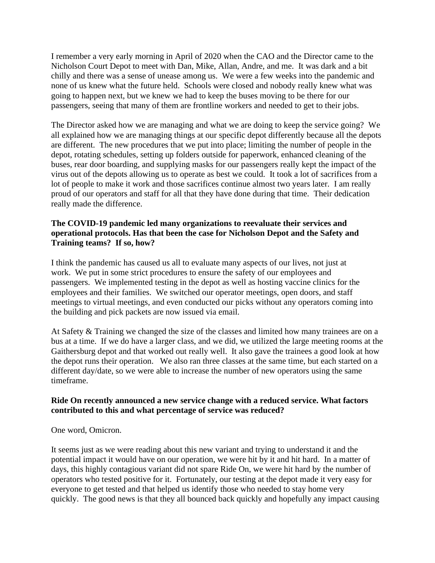I remember a very early morning in April of 2020 when the CAO and the Director came to the Nicholson Court Depot to meet with Dan, Mike, Allan, Andre, and me. It was dark and a bit chilly and there was a sense of unease among us. We were a few weeks into the pandemic and none of us knew what the future held. Schools were closed and nobody really knew what was going to happen next, but we knew we had to keep the buses moving to be there for our passengers, seeing that many of them are frontline workers and needed to get to their jobs.

The Director asked how we are managing and what we are doing to keep the service going? We all explained how we are managing things at our specific depot differently because all the depots are different. The new procedures that we put into place; limiting the number of people in the depot, rotating schedules, setting up folders outside for paperwork, enhanced cleaning of the buses, rear door boarding, and supplying masks for our passengers really kept the impact of the virus out of the depots allowing us to operate as best we could. It took a lot of sacrifices from a lot of people to make it work and those sacrifices continue almost two years later. I am really proud of our operators and staff for all that they have done during that time. Their dedication really made the difference.

#### **The COVID-19 pandemic led many organizations to reevaluate their services and operational protocols. Has that been the case for Nicholson Depot and the Safety and Training teams? If so, how?**

I think the pandemic has caused us all to evaluate many aspects of our lives, not just at work. We put in some strict procedures to ensure the safety of our employees and passengers. We implemented testing in the depot as well as hosting vaccine clinics for the employees and their families. We switched our operator meetings, open doors, and staff meetings to virtual meetings, and even conducted our picks without any operators coming into the building and pick packets are now issued via email.

At Safety & Training we changed the size of the classes and limited how many trainees are on a bus at a time. If we do have a larger class, and we did, we utilized the large meeting rooms at the Gaithersburg depot and that worked out really well. It also gave the trainees a good look at how the depot runs their operation. We also ran three classes at the same time, but each started on a different day/date, so we were able to increase the number of new operators using the same timeframe.

### **Ride On recently announced a new service change with a reduced service. What factors contributed to this and what percentage of service was reduced?**

One word, Omicron.

It seems just as we were reading about this new variant and trying to understand it and the potential impact it would have on our operation, we were hit by it and hit hard. In a matter of days, this highly contagious variant did not spare Ride On, we were hit hard by the number of operators who tested positive for it. Fortunately, our testing at the depot made it very easy for everyone to get tested and that helped us identify those who needed to stay home very quickly. The good news is that they all bounced back quickly and hopefully any impact causing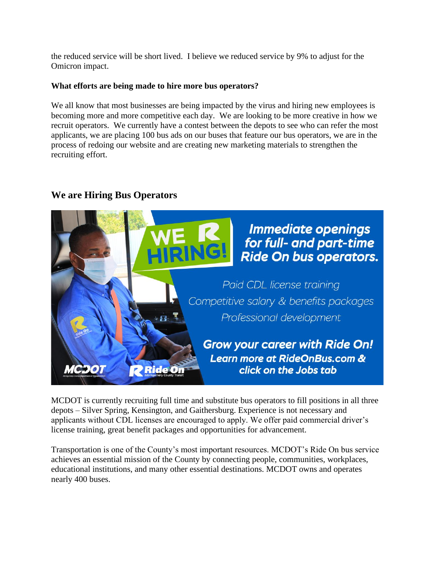the reduced service will be short lived. I believe we reduced service by 9% to adjust for the Omicron impact.

#### **What efforts are being made to hire more bus operators?**

We all know that most businesses are being impacted by the virus and hiring new employees is becoming more and more competitive each day. We are looking to be more creative in how we recruit operators. We currently have a contest between the depots to see who can refer the most applicants, we are placing 100 bus ads on our buses that feature our bus operators, we are in the process of redoing our website and are creating new marketing materials to strengthen the recruiting effort.

### **We are Hiring Bus Operators**



MCDOT is currently recruiting full time and substitute bus operators to fill positions in all three depots – Silver Spring, Kensington, and Gaithersburg. Experience is not necessary and applicants without CDL licenses are encouraged to apply. We offer paid commercial driver's license training, great benefit packages and opportunities for advancement.

Transportation is one of the County's most important resources. MCDOT's Ride On bus service achieves an essential mission of the County by connecting people, communities, workplaces, educational institutions, and many other essential destinations. MCDOT owns and operates nearly 400 buses.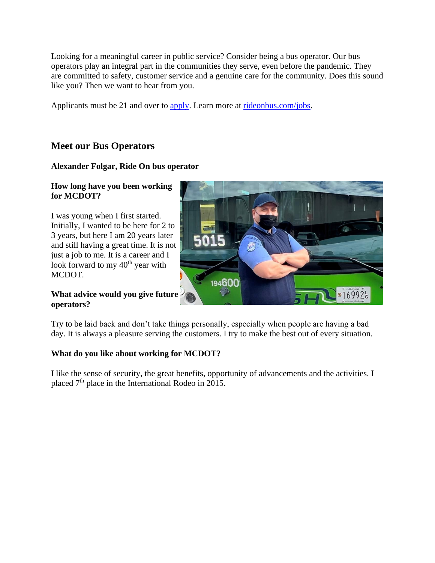Looking for a meaningful career in public service? Consider being a bus operator. Our bus operators play an integral part in the communities they serve, even before the pandemic. They are committed to safety, customer service and a genuine care for the community. Does this sound like you? Then we want to hear from you.

Applicants must be 21 and over to [apply.](https://gcc02.safelinks.protection.outlook.com/?url=https%3A%2F%2Fex12.montgomerycountymd.gov%2Fojn1%2Fijn1%2FOA_HTML%2FOA.jsp%3Fpage%3D%2Foracle%2Fapps%2Firc%2FcandidateSelfService%2Fwebui%2FVisVacDispPG%26OAHP%3DIRC_EXT_SITE_VISITOR_APPL%26OASF%3DIRC_VIS_VAC_DISPLAY%26akRegionApplicationId%3D821%26transactionid%3D1485306945%26retainAM%3DN%26addBreadCrumb%3DRP%26p_svid%3D53044%26p_spid%3D2513615%26oapc%3D6%26oas%3D_UH2OPuG62ly3C9azmcyDg..&data=04%7C01%7Ckodichi.nwankwo%40montgomerycountymd.gov%7Cfff4a8161de84ee3a3fb08d9dc5d1d87%7C6e01b1f9b1e54073ac97778069a0ad64%7C0%7C0%7C637783114763050819%7CUnknown%7CTWFpbGZsb3d8eyJWIjoiMC4wLjAwMDAiLCJQIjoiV2luMzIiLCJBTiI6Ik1haWwiLCJXVCI6Mn0%3D%7C3000&sdata=J06Rf7jS012o3TWsAvAwthuL%2BTUlAhKDjSiQIiaP%2BfM%3D&reserved=0) Learn more at [rideonbus.com/jobs.](https://gcc02.safelinks.protection.outlook.com/?url=https%3A%2F%2Fwww.montgomerycountymd.gov%2Fdot-transit%2Fjobs.html&data=04%7C01%7Ckodichi.nwankwo%40montgomerycountymd.gov%7Cfff4a8161de84ee3a3fb08d9dc5d1d87%7C6e01b1f9b1e54073ac97778069a0ad64%7C0%7C0%7C637783114763050819%7CUnknown%7CTWFpbGZsb3d8eyJWIjoiMC4wLjAwMDAiLCJQIjoiV2luMzIiLCJBTiI6Ik1haWwiLCJXVCI6Mn0%3D%7C3000&sdata=yH7D1uC4E%2Fqmh38Nt35BPGbyKYm71wNDsqpgkCtL3BY%3D&reserved=0)

## **Meet our Bus Operators**

### **Alexander Folgar, Ride On bus operator**

#### **How long have you been working for MCDOT?**

I was young when I first started. Initially, I wanted to be here for 2 to 3 years, but here I am 20 years later and still having a great time. It is not just a job to me. It is a career and I look forward to my 40<sup>th</sup> year with MCDOT.

#### **What advice would you give future operators?**

Try to be laid back and don't take things personally, especially when people are having a bad day. It is always a pleasure serving the customers. I try to make the best out of every situation.

### **What do you like about working for MCDOT?**

I like the sense of security, the great benefits, opportunity of advancements and the activities. I placed 7th place in the International Rodeo in 2015.

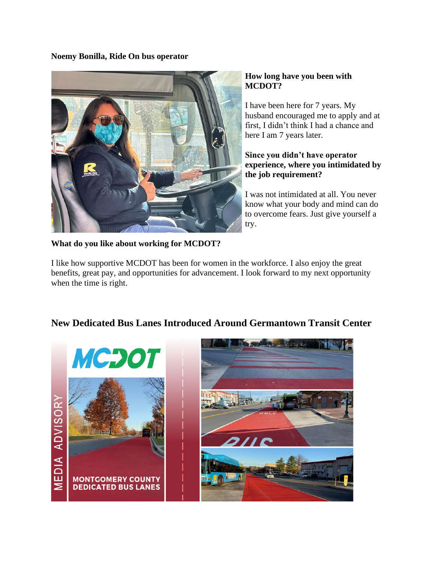**Noemy Bonilla, Ride On bus operator**



### **How long have you been with MCDOT?**

I have been here for 7 years. My husband encouraged me to apply and at first, I didn't think I had a chance and here I am 7 years later.

### **Since you didn't have operator experience, where you intimidated by the job requirement?**

I was not intimidated at all. You never know what your body and mind can do to overcome fears. Just give yourself a try.

**What do you like about working for MCDOT?**

I like how supportive MCDOT has been for women in the workforce. I also enjoy the great benefits, great pay, and opportunities for advancement. I look forward to my next opportunity when the time is right.



# **New Dedicated Bus Lanes Introduced Around Germantown Transit Center**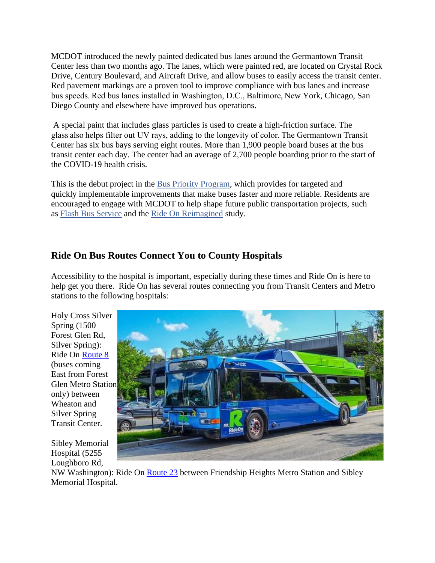MCDOT introduced the newly painted dedicated bus lanes around the Germantown Transit Center less than two months ago. The lanes, which were painted red, are located on Crystal Rock Drive, Century Boulevard, and Aircraft Drive, and allow buses to easily access the transit center. Red pavement markings are a proven tool to improve compliance with bus lanes and increase bus speeds. Red bus lanes installed in Washington, D.C., Baltimore, New York, Chicago, San Diego County and elsewhere have improved bus operations.

A special paint that includes glass particles is used to create a high-friction surface. The glass also helps filter out UV rays, adding to the longevity of color. The Germantown Transit Center has six bus bays serving eight routes. More than 1,900 people board buses at the bus transit center each day. The center had an average of 2,700 people boarding prior to the start of the COVID-19 health crisis.

This is the debut project in the [Bus Priority Program,](https://apps.montgomerycountymd.gov/BASISCAPITAL/Common/Project.aspx?ID=P502204&CID=3&SCID=12) which provides for targeted and quickly implementable improvements that make buses faster and more reliable. Residents are encouraged to engage with MCDOT to help shape future public transportation projects, such as [Flash Bus Service](https://www.montgomerycountymd.gov/dot-transit/flash/) and the [Ride On Reimagined](https://www.montgomerycountymd.gov/DOT-Transit/reimagined/) study.

## **Ride On Bus Routes Connect You to County Hospitals**

Accessibility to the hospital is important, especially during these times and Ride On is here to help get you there. Ride On has several routes connecting you from Transit Centers and Metro stations to the following hospitals:

Holy Cross Silver Spring (1500 Forest Glen Rd, Silver Spring): Ride On [Route 8](https://gcc02.safelinks.protection.outlook.com/?url=https%3A%2F%2Fwww.montgomerycountymd.gov%2FDOT-Transit%2Froutesandschedules%2Fallroutes%2Froute008.html&data=04%7C01%7Ckodichi.nwankwo%40montgomerycountymd.gov%7Cfff4a8161de84ee3a3fb08d9dc5d1d87%7C6e01b1f9b1e54073ac97778069a0ad64%7C0%7C0%7C637783114763050819%7CUnknown%7CTWFpbGZsb3d8eyJWIjoiMC4wLjAwMDAiLCJQIjoiV2luMzIiLCJBTiI6Ik1haWwiLCJXVCI6Mn0%3D%7C3000&sdata=vWwvLU28b9s92ArCmFSRX%2Bxq1iW4O0qymBB5VPPABUk%3D&reserved=0) (buses coming East from Forest Glen Metro Station only) between Wheaton and Silver Spring Transit Center.



Sibley Memorial Hospital (5255 Loughboro Rd,

NW Washington): Ride On [Route 23](https://gcc02.safelinks.protection.outlook.com/?url=https%3A%2F%2Fwww.montgomerycountymd.gov%2FDOT-Transit%2Froutesandschedules%2Fallroutes%2Froute023.html&data=04%7C01%7Ckodichi.nwankwo%40montgomerycountymd.gov%7Cfff4a8161de84ee3a3fb08d9dc5d1d87%7C6e01b1f9b1e54073ac97778069a0ad64%7C0%7C0%7C637783114763050819%7CUnknown%7CTWFpbGZsb3d8eyJWIjoiMC4wLjAwMDAiLCJQIjoiV2luMzIiLCJBTiI6Ik1haWwiLCJXVCI6Mn0%3D%7C3000&sdata=Kb5p9PAaLr%2F4OurTwPkWvKcWmbZQZThZxLXm3k9p6Qg%3D&reserved=0) between Friendship Heights Metro Station and Sibley Memorial Hospital.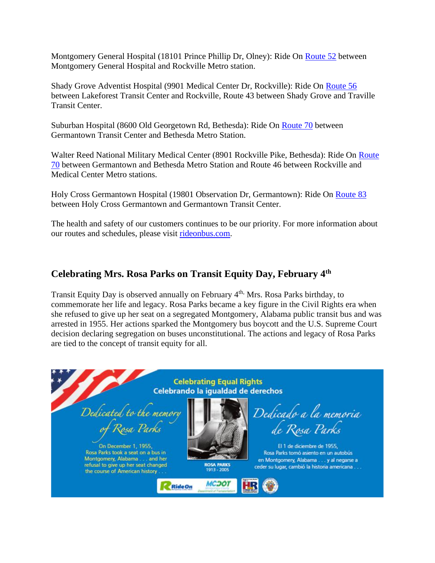Montgomery General Hospital (18101 Prince Phillip Dr, Olney): Ride On [Route 52](https://gcc02.safelinks.protection.outlook.com/?url=https%3A%2F%2Fwww.montgomerycountymd.gov%2FDOT-Transit%2Froutesandschedules%2Fallroutes%2Froute052.html&data=04%7C01%7Ckodichi.nwankwo%40montgomerycountymd.gov%7Cfff4a8161de84ee3a3fb08d9dc5d1d87%7C6e01b1f9b1e54073ac97778069a0ad64%7C0%7C0%7C637783114763050819%7CUnknown%7CTWFpbGZsb3d8eyJWIjoiMC4wLjAwMDAiLCJQIjoiV2luMzIiLCJBTiI6Ik1haWwiLCJXVCI6Mn0%3D%7C3000&sdata=khokbScZGx4x%2BGzvWCP%2FstHqAEoLW4V0uxiHTEoIzoM%3D&reserved=0) between Montgomery General Hospital and Rockville Metro station.

Shady Grove Adventist Hospital (9901 Medical Center Dr, Rockville): Ride On [Route 56](https://gcc02.safelinks.protection.outlook.com/?url=https%3A%2F%2Fwww.montgomerycountymd.gov%2FDOT-Transit%2Froutesandschedules%2Fallroutes%2Froute056.html&data=04%7C01%7Ckodichi.nwankwo%40montgomerycountymd.gov%7Cfff4a8161de84ee3a3fb08d9dc5d1d87%7C6e01b1f9b1e54073ac97778069a0ad64%7C0%7C0%7C637783114763050819%7CUnknown%7CTWFpbGZsb3d8eyJWIjoiMC4wLjAwMDAiLCJQIjoiV2luMzIiLCJBTiI6Ik1haWwiLCJXVCI6Mn0%3D%7C3000&sdata=PZk%2F5SC1ge03JACI7VoplsGNhzoIjcEHLUIcKzeWocc%3D&reserved=0) between Lakeforest Transit Center and Rockville, Route 43 between Shady Grove and Traville Transit Center.

Suburban Hospital (8600 Old Georgetown Rd, Bethesda): Ride On [Route 70](https://gcc02.safelinks.protection.outlook.com/?url=https%3A%2F%2Fwww.montgomerycountymd.gov%2FDOT-Transit%2Froutesandschedules%2Fallroutes%2Froute070.html&data=04%7C01%7Ckodichi.nwankwo%40montgomerycountymd.gov%7Cfff4a8161de84ee3a3fb08d9dc5d1d87%7C6e01b1f9b1e54073ac97778069a0ad64%7C0%7C0%7C637783114763050819%7CUnknown%7CTWFpbGZsb3d8eyJWIjoiMC4wLjAwMDAiLCJQIjoiV2luMzIiLCJBTiI6Ik1haWwiLCJXVCI6Mn0%3D%7C3000&sdata=s3FAdjeLVF3TIfByGQG1bB6HBk3Xw0ufvPaSCARNDek%3D&reserved=0) between Germantown Transit Center and Bethesda Metro Station.

Walter Reed National Military Medical Center (8901 Rockville Pike, Bethesda): Ride On [Route](https://gcc02.safelinks.protection.outlook.com/?url=https%3A%2F%2Fwww.montgomerycountymd.gov%2FDOT-Transit%2Froutesandschedules%2Fallroutes%2Froute070.html&data=04%7C01%7Ckodichi.nwankwo%40montgomerycountymd.gov%7Cfff4a8161de84ee3a3fb08d9dc5d1d87%7C6e01b1f9b1e54073ac97778069a0ad64%7C0%7C0%7C637783114763050819%7CUnknown%7CTWFpbGZsb3d8eyJWIjoiMC4wLjAwMDAiLCJQIjoiV2luMzIiLCJBTiI6Ik1haWwiLCJXVCI6Mn0%3D%7C3000&sdata=s3FAdjeLVF3TIfByGQG1bB6HBk3Xw0ufvPaSCARNDek%3D&reserved=0)  [70](https://gcc02.safelinks.protection.outlook.com/?url=https%3A%2F%2Fwww.montgomerycountymd.gov%2FDOT-Transit%2Froutesandschedules%2Fallroutes%2Froute070.html&data=04%7C01%7Ckodichi.nwankwo%40montgomerycountymd.gov%7Cfff4a8161de84ee3a3fb08d9dc5d1d87%7C6e01b1f9b1e54073ac97778069a0ad64%7C0%7C0%7C637783114763050819%7CUnknown%7CTWFpbGZsb3d8eyJWIjoiMC4wLjAwMDAiLCJQIjoiV2luMzIiLCJBTiI6Ik1haWwiLCJXVCI6Mn0%3D%7C3000&sdata=s3FAdjeLVF3TIfByGQG1bB6HBk3Xw0ufvPaSCARNDek%3D&reserved=0) between Germantown and Bethesda Metro Station and Route 46 between Rockville and Medical Center Metro stations.

Holy Cross Germantown Hospital (19801 Observation Dr, Germantown): Ride On [Route 83](https://gcc02.safelinks.protection.outlook.com/?url=https%3A%2F%2Fwww.montgomerycountymd.gov%2FDOT-Transit%2Froutesandschedules%2Fallroutes%2Froute083.html&data=04%7C01%7Ckodichi.nwankwo%40montgomerycountymd.gov%7Cfff4a8161de84ee3a3fb08d9dc5d1d87%7C6e01b1f9b1e54073ac97778069a0ad64%7C0%7C0%7C637783114763050819%7CUnknown%7CTWFpbGZsb3d8eyJWIjoiMC4wLjAwMDAiLCJQIjoiV2luMzIiLCJBTiI6Ik1haWwiLCJXVCI6Mn0%3D%7C3000&sdata=hZVC6kwWNf%2FiCwY6S40U9cXhhBeF%2BEzUoEEzGrc%2F8vc%3D&reserved=0) between Holy Cross Germantown and Germantown Transit Center.

The health and safety of our customers continues to be our priority. For more information about our routes and schedules, please visit [rideonbus.com.](https://gcc02.safelinks.protection.outlook.com/?url=https%3A%2F%2Fwww.montgomerycountymd.gov%2Fdot-transit%2Findex.html&data=04%7C01%7Ckodichi.nwankwo%40montgomerycountymd.gov%7Cfff4a8161de84ee3a3fb08d9dc5d1d87%7C6e01b1f9b1e54073ac97778069a0ad64%7C0%7C0%7C637783114763050819%7CUnknown%7CTWFpbGZsb3d8eyJWIjoiMC4wLjAwMDAiLCJQIjoiV2luMzIiLCJBTiI6Ik1haWwiLCJXVCI6Mn0%3D%7C3000&sdata=vWvYYDKty%2Bc%2BikaBGJPY2KoEMoTgHHWYY%2BsJPYDznUU%3D&reserved=0)

### **Celebrating Mrs. Rosa Parks on Transit Equity Day, February 4th**

Transit Equity Day is observed annually on February 4<sup>th,</sup> Mrs. Rosa Parks birthday, to commemorate her life and legacy. Rosa Parks became a key figure in the Civil Rights era when she refused to give up her seat on a segregated Montgomery, Alabama public transit bus and was arrested in 1955. Her actions sparked the Montgomery bus boycott and the U.S. Supreme Court decision declaring segregation on buses unconstitutional. The actions and legacy of Rosa Parks are tied to the concept of transit equity for all.

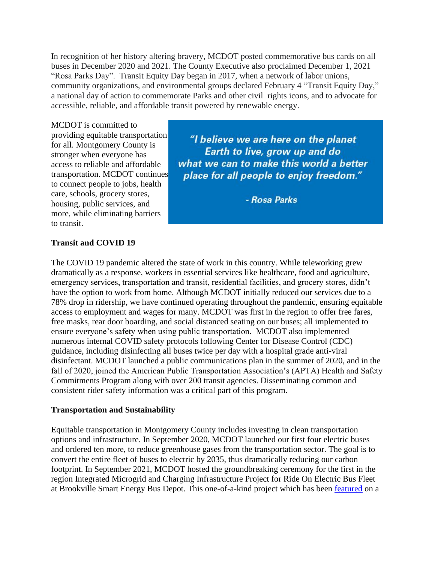In recognition of her history altering bravery, MCDOT posted commemorative bus cards on all buses in December 2020 and 2021. The County Executive also proclaimed December 1, 2021 "Rosa Parks Day". Transit Equity Day began in 2017, when a network of labor unions, community organizations, and environmental groups declared February 4 "Transit Equity Day," a national day of action to commemorate Parks and other civil rights icons, and to advocate for accessible, reliable, and affordable transit powered by renewable energy.

MCDOT is committed to providing equitable transportation for all. Montgomery County is stronger when everyone has access to reliable and affordable transportation. MCDOT continues to connect people to jobs, health care, schools, grocery stores, housing, public services, and more, while eliminating barriers to transit.

"I believe we are here on the planet Earth to live, grow up and do what we can to make this world a better place for all people to enjoy freedom."

- Rosa Parks

#### **Transit and COVID 19**

The COVID 19 pandemic altered the state of work in this country. While teleworking grew dramatically as a response, workers in essential services like healthcare, food and agriculture, emergency services, transportation and transit, residential facilities, and grocery stores, didn't have the option to work from home. Although MCDOT initially reduced our services due to a 78% drop in ridership, we have continued operating throughout the pandemic, ensuring equitable access to employment and wages for many. MCDOT was first in the region to offer free fares, free masks, rear door boarding, and social distanced seating on our buses; all implemented to ensure everyone's safety when using public transportation. MCDOT also implemented numerous internal COVID safety protocols following Center for Disease Control (CDC) guidance, including disinfecting all buses twice per day with a hospital grade anti-viral disinfectant. MCDOT launched a public communications plan in the summer of 2020, and in the fall of 2020, joined the American Public Transportation Association's (APTA) Health and Safety Commitments Program along with over 200 transit agencies. Disseminating common and consistent rider safety information was a critical part of this program.

#### **Transportation and Sustainability**

Equitable transportation in Montgomery County includes investing in clean transportation options and infrastructure. In September 2020, MCDOT launched our first four electric buses and ordered ten more, to reduce greenhouse gases from the transportation sector. The goal is to convert the entire fleet of buses to electric by 2035, thus dramatically reducing our carbon footprint. In September 2021, MCDOT hosted the groundbreaking ceremony for the first in the region Integrated Microgrid and Charging Infrastructure Project for Ride On Electric Bus Fleet at Brookville Smart Energy Bus Depot. This one-of-a-kind project which has been [featured](https://microgridknowledge.com/22-intriguing-microgrid-projects-watch-2022/) on a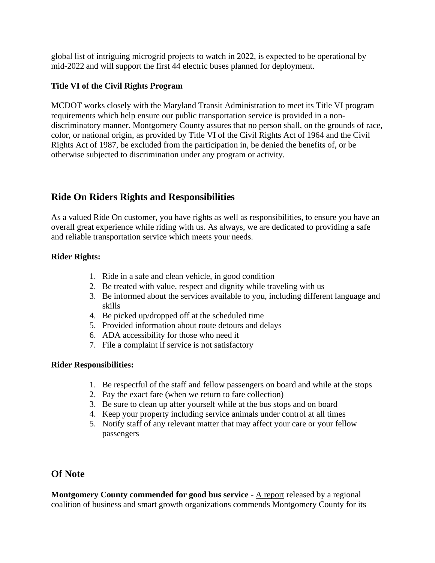global list of intriguing microgrid projects to watch in 2022, is expected to be operational by mid-2022 and will support the first 44 electric buses planned for deployment.

### **Title VI of the Civil Rights Program**

MCDOT works closely with the Maryland Transit Administration to meet its Title VI program requirements which help ensure our public transportation service is provided in a nondiscriminatory manner. Montgomery County assures that no person shall, on the grounds of race, color, or national origin, as provided by Title VI of the Civil Rights Act of 1964 and the Civil Rights Act of 1987, be excluded from the participation in, be denied the benefits of, or be otherwise subjected to discrimination under any program or activity.

## **Ride On Riders Rights and Responsibilities**

As a valued Ride On customer, you have rights as well as responsibilities, to ensure you have an overall great experience while riding with us. As always, we are dedicated to providing a safe and reliable transportation service which meets your needs.

#### **Rider Rights:**

- 1. Ride in a safe and clean vehicle, in good condition
- 2. Be treated with value, respect and dignity while traveling with us
- 3. Be informed about the services available to you, including different language and skills
- 4. Be picked up/dropped off at the scheduled time
- 5. Provided information about route detours and delays
- 6. ADA accessibility for those who need it
- 7. File a complaint if service is not satisfactory

#### **Rider Responsibilities:**

- 1. Be respectful of the staff and fellow passengers on board and while at the stops
- 2. Pay the exact fare (when we return to fare collection)
- 3. Be sure to clean up after yourself while at the bus stops and on board
- 4. Keep your property including service animals under control at all times
- 5. Notify staff of any relevant matter that may affect your care or your fellow passengers

### **Of Note**

**Montgomery County commended for good bus service** - [A report](https://bethesdamagazine.com/bethesda-beat/transit/report-says-montgomery-county-has-good-bus-service-but-region-needs-more-investment/?utm_source=Bethesda+Magazine+%7C+Bethesda+Beat&utm_campaign=f6d59b7477-RSS_BETHESDA+BEAT_WEEKDAY_EMAIL_CAMPAIGN&utm_medium=email&utm_term=0_1bbe9df5d9-f6d59b7477-104441543&mc_cid=f6d59b7477&mc_eid=d750f23e7c) released by a regional coalition of business and smart growth organizations commends Montgomery County for its